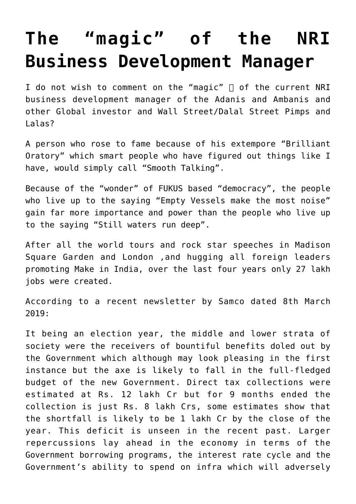## **[The "magic" of the NRI](https://aryadharma.world/bharat/the-magic-of-the-nri-business-development-manager/) [Business Development Manager](https://aryadharma.world/bharat/the-magic-of-the-nri-business-development-manager/)**

I do not wish to comment on the "magic"  $\sqcap$  of the current [NRI](https://en.wikipedia.org/wiki/Narendra_Modi) [business development manager](https://en.wikipedia.org/wiki/Narendra_Modi) of the [Adanis](https://en.wikipedia.org/wiki/Gautam_Adani) and [Ambanis](https://en.wikipedia.org/wiki/Reliance_Industries) and other [Global investor and Wall Street/Dalal Street Pimps and](https://aryadharma.world/wallstreetpimps/) [Lalas](https://aryadharma.world/wallstreetpimps/)?

A person who rose to fame because of his extempore "Brilliant Oratory" which smart people who [have figured out things like I](https://aryadharma.world/articles/figured_out/) [have](https://aryadharma.world/articles/figured_out/), would simply call "Smooth Talking".

Because of the "wonder" of [FUKUS](https://aryadharma.world/fukus/) based "democracy", the people who live up to the saying "[Empty Vessels make the most noise"](http://idioms.thefreedictionary.com/Empty+vessels+make+most+noise) gain far more importance and power than the people who live up to the saying ["Still waters run deep".](http://idioms.thefreedictionary.com/Still+Waters+Run+Deep)

After all the world tours and rock star speeches in Madison Square Garden and London ,and hugging all foreign leaders promoting Make in India, over the last four years only 27 lakh jobs were created.

According to a recent newsletter by Samco dated 8th March 2019:

It being an election year, the middle and lower strata of society were the receivers of bountiful benefits doled out by the Government which although may look pleasing in the first instance but the axe is likely to fall in the full-fledged budget of the new Government. Direct tax collections were estimated at Rs. 12 lakh Cr but for 9 months ended the collection is just Rs. 8 lakh Crs, some estimates show that the shortfall is likely to be 1 lakh Cr by the close of the year. This deficit is unseen in the recent past. Larger repercussions lay ahead in the economy in terms of the Government borrowing programs, the interest rate cycle and the Government's ability to spend on infra which will adversely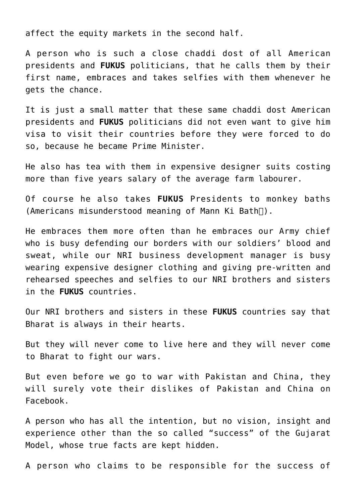affect the equity markets in the second half.

A person who is such a close [chaddi dost](https://sites.google.com/site/brfdictionary/glossary/c/chaddi-buddy) of all American presidents and **[FUKUS](https://aryadharma.world/fukus/)** politicians, that he calls them by their first name, embraces and takes [selfies](https://en.wikipedia.org/wiki/Selfie) with them whenever he gets the chance.

It is just a small matter that these same [chaddi dost](https://sites.google.com/site/brfdictionary/glossary/c/chaddi-buddy) American presidents and **[FUKUS](https://aryadharma.world/fukus/)** politicians did not even want to give him visa to visit their countries before they were forced to do so, because he became Prime Minister.

He also has tea with them in expensive designer suits costing more than five years salary of the average farm labourer.

Of course he also takes **[FUKUS](https://aryadharma.world/fukus/)** Presidents to monkey baths (Americans misunderstood meaning of Mann Ki Bath).

He embraces them more often than he embraces our Army chief who is busy defending our borders with our soldiers' blood and sweat, while our NRI business development manager is busy wearing expensive designer clothing and giving pre-written and rehearsed speeches and [selfies](https://en.wikipedia.org/wiki/Selfie) to our NRI brothers and sisters in the **[FUKUS](https://aryadharma.world/fukus/)** countries.

Our NRI brothers and sisters in these **[FUKUS](https://aryadharma.world/fukus/)** countries say that [Bharat](https://aryadharma.world/bharat/) is always in their hearts.

But they will never come to live here and they will never come to [Bharat](https://aryadharma.world/bharat/) to fight our wars.

But even before we go to war with Pakistan and China, they will surely vote their dislikes of Pakistan and China on Facebook.

A person who has all the intention, but no vision, insight and experience other than the so called "success" of the Gujarat Model, [whose true facts](http://www.moneylife.in/article/the-gujarat-model-ndash-some-facts/51106.html) are kept hidden.

A person who claims to be responsible for the success of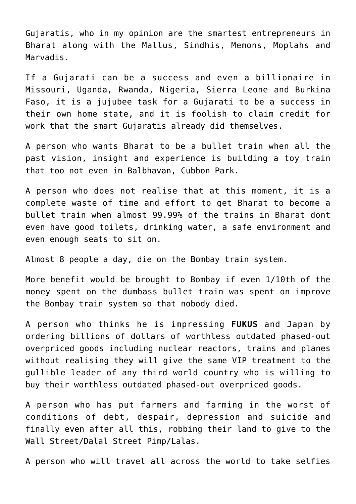[Gujaratis](https://en.wikipedia.org/wiki/Gujarati_people), who in my opinion are the smartest entrepreneurs in Bharat along with the [Mallus](https://en.wikipedia.org/wiki/Malayali), [Sindhis](https://en.wikipedia.org/wiki/Sindhis), [Memons](https://en.wikipedia.org/wiki/Memon_people), [Moplahs](https://en.wikipedia.org/wiki/Mappila) and [Marvadis.](https://en.wikipedia.org/wiki/Marwari_people)

If a Gujarati can be a success and even a billionaire in Missouri, Uganda, Rwanda, Nigeria, Sierra Leone and Burkina Faso, it is a jujubee task for a Gujarati to be a success in their own home state, and it is foolish to claim credit for work that the smart Gujaratis already did themselves.

A person who wants Bharat to be a bullet train when all the past vision, insight and experience is building a toy train that too not even in [Balbhavan, Cubbon Park.](https://www.tripadvisor.in/LocationPhotoDirectLink-g297628-d2587630-i70464148-Cubbon_Park-Bengaluru_Bangalore_District_Karnataka.html)

A person who does not realise that at this moment, it is a complete waste of time and effort to get Bharat to become a bullet train when almost 99.99% of the trains in Bharat dont even have good toilets, drinking water, a safe environment and even enough seats to sit on.

Almost 8 people a day, die on the Bombay train system.

More benefit would be brought to Bombay if even 1/10th of the money spent on the dumbass bullet train was spent on improve the Bombay train system so that nobody died.

A person who thinks he is impressing **[FUKUS](https://aryadharma.world/fukus/)** and Japan by ordering billions of dollars of worthless outdated phased-out overpriced goods including nuclear reactors, trains and planes without realising they will give the same VIP treatment to the gullible leader of any third world country who is willing to buy their worthless outdated phased-out overpriced goods.

A person who has put farmers and farming in the worst of conditions of debt, despair, depression and suicide and finally even after all this, robbing their land to give to the [Wall Street/Dalal Street Pimp/Lalas.](http://aryadharma.world/fukus/wallstreetpimps/)

A person who will travel all across the world to take selfies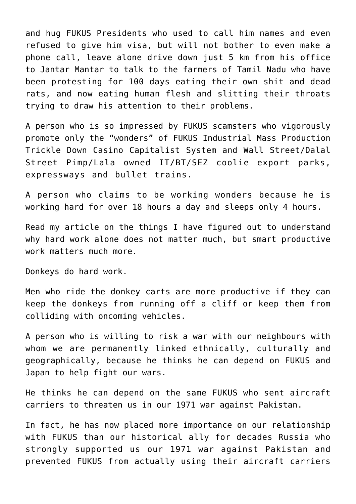and hug [FUKUS](https://aryadharma.world/fukus/) Presidents who used to call him names and even refused to give him visa, but will not bother to even make a phone call, leave alone drive down just 5 km from his office to [Jantar Mantar](https://en.wikipedia.org/wiki/Jantar_Mantar,_New_Delhi) to talk to the farmers of Tamil Nadu who have been [protesting for 100 days](https://www.outlookindia.com/website/story/protesting-tamil-nadu-farmers-eat-human-flesh-threaten-to-slit-own-throats/301586) eating their own shit and dead rats, and now eating human flesh and slitting their throats trying to draw his attention to their problems.

A person who is so impressed by [FUKUS](https://aryadharma.world/fukus/) scamsters who vigorously promote only the "wonders" of [FUKUS](https://aryadharma.world/fukus/) Industrial Mass Production Trickle Down [Casino Capitalist System](https://aryadharma.world/fukus/fukus-capitalism) and [Wall Street/Dalal](https://aryadharma.world/fukus/wallstreetpimps/) [Street Pimp/Lala](https://aryadharma.world/fukus/wallstreetpimps/) owned IT/BT/SEZ coolie export parks, expressways and bullet trains.

A person who claims to be working wonders because he is working hard for over 18 hours a day and sleeps only 4 hours.

Read my article on the things I [have figured out](https://aryadharma.world/articles/figured_out/) to understand why hard work alone does not matter much, but smart productive work matters much more.

Donkeys do hard work.

Men who ride the donkey carts are more productive if they can keep the donkeys from running off a cliff or keep them from colliding with oncoming vehicles.

A person who is willing to risk a war with our neighbours with whom we are permanently linked ethnically, culturally and geographically, because he thinks he can depend on [FUKUS](https://aryadharma.world/fukus/) and Japan to help fight our wars.

He thinks he can depend on the same [FUKUS](https://aryadharma.world/fukus/) who sent aircraft carriers to threaten us in our [1971 war against Pakistan.](https://en.wikipedia.org/wiki/Bangladesh_Liberation_War#US_and_USSR)

In fact, he has now placed more importance on our relationship with [FUKUS](https://aryadharma.world/fukus/) than our historical ally for decades Russia who strongly supported us our [1971 war against Pakistan](https://en.wikipedia.org/wiki/Bangladesh_Liberation_War#US_and_USSR) and prevented [FUKUS](https://aryadharma.world/fukus/) from actually using their aircraft carriers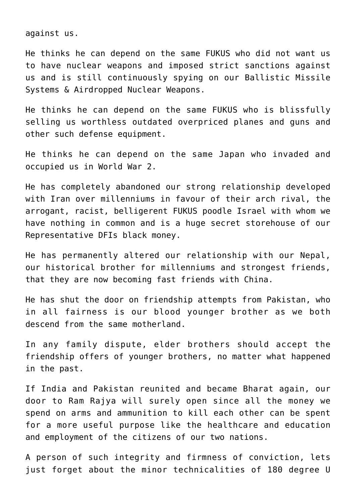against us.

He thinks he can depend on the same [FUKUS](https://aryadharma.world/fukus/) who did not want us to have nuclear weapons and imposed strict sanctions against us and is still continuously spying on our [Ballistic Missile](http://gginews.in/us-nsa-spying-indias-sagarika-dhanush-ballistic-missile-systems-airdropped-nuclear-weapons/) [Systems & Airdropped Nuclear Weapons.](http://gginews.in/us-nsa-spying-indias-sagarika-dhanush-ballistic-missile-systems-airdropped-nuclear-weapons/)

He thinks he can depend on the same [FUKUS](https://aryadharma.world/fukus/) who is blissfully selling us worthless outdated overpriced planes and guns and other such defense equipment.

He thinks he can depend on the same Japan who [invaded and](https://en.wikipedia.org/wiki/South-East_Asian_theatre_of_World_War_II) [occupied us](https://en.wikipedia.org/wiki/South-East_Asian_theatre_of_World_War_II) in World War 2.

He has completely abandoned our strong relationship developed with Iran over millenniums in favour of their arch rival, the arrogant, racist, belligerent [FUKUS](https://aryadharma.world/fukus/) poodle Israel with whom we have nothing in common and is a huge secret storehouse of our [Representative DFIs](http://aryadharma.world/fukus/repsofpeople/) black money.

He has permanently altered our relationship with our Nepal, our historical brother for millenniums and strongest friends, that they are now becoming fast friends with China.

He has shut the door on friendship attempts from Pakistan, who in all fairness is our blood younger brother as we both descend from the same motherland.

In any family dispute, elder brothers should accept the friendship offers of younger brothers, no matter what happened in the past.

If India and Pakistan reunited and became [Bharat](https://aryadharma.world/bharat/) again, our door to [Ram Rajya](https://aryadharma.world/vedasandupanishads/ram-rajya-the-heavenly-rule-of-ram/) will surely open since all the money we spend on arms and ammunition to kill each other can be spent for a more useful purpose like the healthcare and education and employment of the citizens of our two nations.

A person of such integrity and firmness of conviction, lets just forget about the minor technicalities of 180 degree U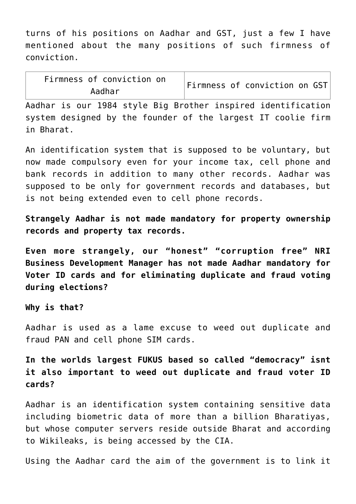turns of his positions on [Aadhar](https://aamjanata.com/digital-india/aadhaar/) and [GST](https://en.wikipedia.org/wiki/Goods_and_Services_Tax_(India)), just a few I have mentioned about the many positions of such firmness of conviction.

| Firmness of conviction on |  | Firmness of conviction on GST |  |
|---------------------------|--|-------------------------------|--|
| Aadhar                    |  |                               |  |

[Aadhar](https://aamjanata.com/digital-india/aadhaar/) is our [1984 style](https://en.wikipedia.org/wiki/Nineteen_Eighty-Four) [Big Brother](https://en.wikipedia.org/wiki/Big_Brother_(Nineteen_Eighty-Four)) inspired identification system designed by the founder of the largest IT coolie firm in Bharat.

An identification system that is supposed to be voluntary, but now made compulsory even for your income tax, cell phone and bank records in addition to many other records. [Aadhar](https://aamjanata.com/digital-india/aadhaar/) was supposed to be only for government records and databases, but is not being extended even to cell phone records.

**Strangely [Aadhar](https://aamjanata.com/digital-india/aadhaar/) is not made mandatory for property ownership records and property tax records.**

**Even more strangely, our "honest" "corruption free" NRI Business Development Manager has not made [Aadhar](https://aamjanata.com/digital-india/aadhaar/) mandatory for Voter ID cards and for eliminating duplicate and fraud voting during elections?**

## **Why is that?**

[Aadhar](https://aamjanata.com/digital-india/aadhaar/) is used as a lame excuse to weed out duplicate and fraud PAN and cell phone SIM cards.

**In the worlds largest [FUKUS](https://aryadharma.world/fukus/) based so called ["democracy"](http://aryadharma.world/fukus/repsofpeople/) isnt it also important to weed out duplicate and fraud voter ID cards?**

[Aadhar](https://aamjanata.com/digital-india/aadhaar/) is an identification system containing sensitive data including biometric data of more than a billion Bharatiyas, but whose [computer servers reside outside](http://www.sunday-guardian.com/investigation/foreign-agencies-can-access-aadhar-data) Bharat and [according](http://timesofindia.indiatimes.com/india/wikileaks-hints-at-cia-access-to-aadhaar-data-officials-deny-it/articleshow/60228184.cms) [to Wikileaks](http://timesofindia.indiatimes.com/india/wikileaks-hints-at-cia-access-to-aadhaar-data-officials-deny-it/articleshow/60228184.cms), [is being accessed by the CIA.](https://aamjanata.com/digital-india/aadhaar/factcheck-uidai-denies-wikileaks-information-claims-cia-not-access-aadhaar-data-expresslane/)

Using the [Aadhar card](https://en.wikipedia.org/wiki/Aadhaar) the aim of the government is to link it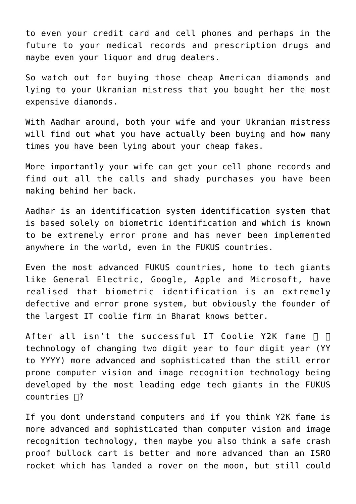to even your credit card and cell phones and perhaps in the future to your medical records and prescription drugs and maybe even your liquor and drug dealers.

So watch out for buying those cheap [American diamonds](https://en.wikipedia.org/wiki/Cubic_zirconia) and lying to your Ukranian mistress that you bought her the most expensive diamonds.

With Aadhar around, both your wife and your Ukranian mistress will find out what you have actually been buying and how many times you have been lying about your cheap fakes.

More importantly your wife can get your cell phone records and find out all the calls and shady purchases you have been making behind her back.

[Aadhar](https://aamjanata.com/digital-india/aadhaar/) is an identification system identification system that is based solely on [biometric](https://en.wikipedia.org/wiki/Biometrics) identification and which is known to be extremely error prone and has never been implemented anywhere in the world, even in the [FUKUS](https://aryadharma.world/fukus/) countries.

Even the most advanced [FUKUS](https://aryadharma.world/fukus/) countries, home to tech giants like General Electric, Google, Apple and Microsoft, have realised that [biometric](https://en.wikipedia.org/wiki/Biometrics) identification is an extremely defective and error prone system, but obviously the founder of the largest IT coolie firm in Bharat knows better.

After all isn't the successful IT Coolie [Y2K fame](https://en.wikipedia.org/wiki/Year_2000_problem)  $\Box$   $\Box$ technology of changing two digit year to four digit year (YY to YYYY) more advanced and sophisticated than the still error prone [computer vision and image recognition technology](https://en.wikipedia.org/wiki/Computer_vision) being developed by the most leading edge tech giants in the [FUKUS](https://aryadharma.world/fukus/) countries  $\Box$ ?

If you dont understand computers and if you think [Y2K fame](https://en.wikipedia.org/wiki/Year_2000_problem) is more advanced and sophisticated than [computer vision and image](https://en.wikipedia.org/wiki/Computer_vision) [recognition technology](https://en.wikipedia.org/wiki/Computer_vision), then maybe you also think a safe crash proof bullock cart is better and more advanced than an [ISRO](https://en.wikipedia.org/wiki/Indian_Space_Research_Organisation) rocket which has [landed a rover on the moon](https://en.wikipedia.org/wiki/Chandrayaan-1), but still could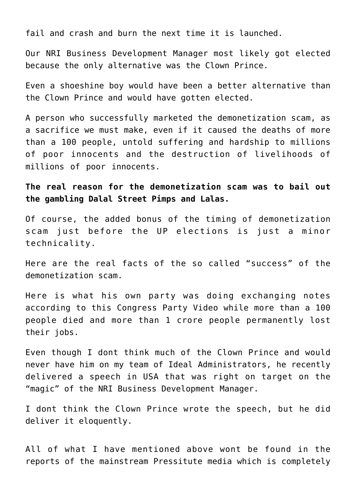fail and crash and burn the next time it is launched.

Our NRI Business Development Manager most likely got elected because the only alternative was the [Clown Prince.](https://en.wikipedia.org/wiki/Rahul_Gandhi)

Even a shoeshine boy would have been a better alternative than the [Clown Prince](https://en.wikipedia.org/wiki/Rahul_Gandhi) and would have gotten elected.

A person who successfully marketed the [demonetization scam,](https://en.wikipedia.org/wiki/2016_Indian_banknote_demonetisation) as a sacrifice we must make, even if it caused the deaths of more than a 100 people, untold suffering and hardship to millions of poor innocents and the destruction of livelihoods of millions of poor innocents.

**The real reason for the [demonetization scam](https://en.wikipedia.org/wiki/2016_Indian_banknote_demonetisation) was to bail out the gambling [Dalal Street Pimps and Lalas.](https://aryadharma.world/wallstreetpimps/)**

Of course, the added bonus of the timing of [demonetization](https://en.wikipedia.org/wiki/2016_Indian_banknote_demonetisation) [scam](https://en.wikipedia.org/wiki/2016_Indian_banknote_demonetisation) just before the [UP elections](https://en.wikipedia.org/wiki/Uttar_Pradesh_Legislative_Assembly_election,_2017) is just a minor technicality.

Here are the [real facts](http://www.tehelka.com/2017/08/demonetisation-cat-is-out-of-the-bag/) of the so called "success" of the demonetization scam.

Here is what his own party was doing exchanging notes according to this Congress Party Video while more than a 100 people died and more than 1 crore people permanently lost their jobs.

Even though I dont think much of the [Clown Prince](https://en.wikipedia.org/wiki/Rahul_Gandhi) and would never have him on my team of [Ideal Administrators,](https://aryadharma.world/concepts/thestate/the-ideal-team-of-administrators-for-bharat/) he recently delivered a speech in USA that was right on target on the "magic" of the NRI Business Development Manager.

I dont think the [Clown Prince](https://en.wikipedia.org/wiki/Rahul_Gandhi) wrote the speech, but he did deliver it eloquently.

All of what I have mentioned above wont be found in the reports of the mainstream Pressitute media which is completely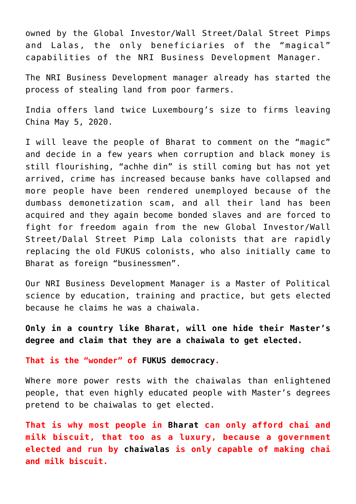owned by the [Global Investor/Wall Street/Dalal Street Pimps](https://aryadharma.world/wallstreetpimps/) [and Lalas](https://aryadharma.world/wallstreetpimps/), the only beneficiaries of the "magical" capabilities of the NRI Business Development Manager.

The NRI Business Development manager already has started the process of stealing land from poor farmers.

[India offers land twice Luxembourg's size to firms leaving](https://www.deccanherald.com/business/india-offers-land-twice-luxembourg-s-size-to-firms-leaving-china-833609.html) [China](https://www.deccanherald.com/business/india-offers-land-twice-luxembourg-s-size-to-firms-leaving-china-833609.html) May 5, 2020.

I will leave the people of Bharat to comment on the "magic" and decide in a few years when corruption and black money is still flourishing, "achhe din" is still coming but has not yet arrived, crime has increased because banks have collapsed and more people have been rendered unemployed because of the dumbass demonetization scam, and all their land has been acquired and they again become bonded slaves and are forced to fight for freedom again from the new [Global Investor/Wall](https://aryadharma.world/wallstreetpimps/) [Street/Dalal Street Pimp Lala](https://aryadharma.world/wallstreetpimps/) colonists that are rapidly replacing the old [FUKUS](https://aryadharma.world/fukus/) colonists, who also initially came to Bharat as foreign "businessmen".

Our NRI Business Development Manager is a Master of Political science by education, training and practice, but gets elected because he claims he was a [chaiwala.](https://en.wikipedia.org/wiki/Chaiwala)

**Only in a country like [Bharat,](https://aryadharma.world/bharat/) will one hide their Master's degree and claim that they are a [chaiwala](https://en.wikipedia.org/wiki/Chaiwala) to get elected.**

**That is the "wonder" of [FUKUS](http://aryadharma.world/fukus/) [democracy](http://aryadharma.world/repsofpeople/).**

Where more power rests with the [chaiwalas](https://en.wikipedia.org/wiki/Chaiwala) than enlightened people, that even highly educated people with Master's degrees pretend to be [chaiwalas](https://en.wikipedia.org/wiki/Chaiwala) to get elected.

**That is why most people in [Bharat](http://aryadharma.world/bharat/) can only afford chai and milk biscuit, that too as a luxury, because a government elected and run by [chaiwalas](https://en.wikipedia.org/wiki/Chaiwala) is only capable of making chai and milk biscuit.**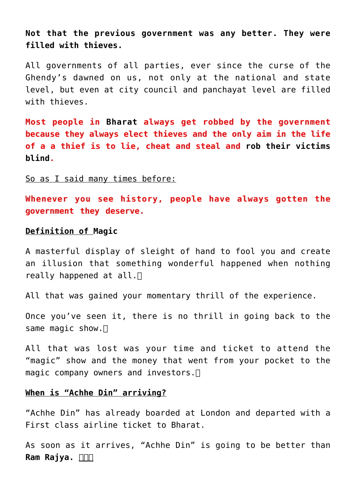**Not that the previous government was any better. They were filled with thieves.**

All governments of all parties, ever since the curse of the [Ghendy's](https://en.wikipedia.org/wiki/Nehru%E2%80%93Gandhi_family) dawned on us, not only at the national and state level, but even at city council and panchayat level are filled with thieves.

**Most people in [Bharat](http://aryadharma.world/bharat/) always get robbed by the government because they always elect thieves and the only aim in the life of a a thief is to lie, cheat and steal and [rob their victims](http://idioms.thefreedictionary.com/rob+blind) [blind](http://idioms.thefreedictionary.com/rob+blind).**

So as I said many times before:

**Whenever you see history, people have always gotten the government they deserve.**

## **Definition of [Magic](https://en.wikipedia.org/wiki/Magic_(illusion))**

A masterful display of sleight of hand to fool you and create an illusion that something wonderful happened when nothing really happened at all.  $\Box$ 

All that was gained your momentary thrill of the experience.

Once you've seen it, there is no thrill in going back to the same magic show.  $\Box$ 

All that was lost was your time and ticket to attend the "magic" show and the money that went from your pocket to the magic company owners and investors. $\Box$ 

## **When is "Achhe Din" arriving?**

"Achhe Din" has already boarded at London and departed with a [First class](https://en.wikipedia.org/wiki/First_class_(aviation)) airline ticket to Bharat.

As soon as it arrives, "Achhe Din" is going to be better than **[Ram Rajya.](https://aryadharma.world/concepts/brahman/ram-rajya-the-heavenly-rule-of-ram/)**